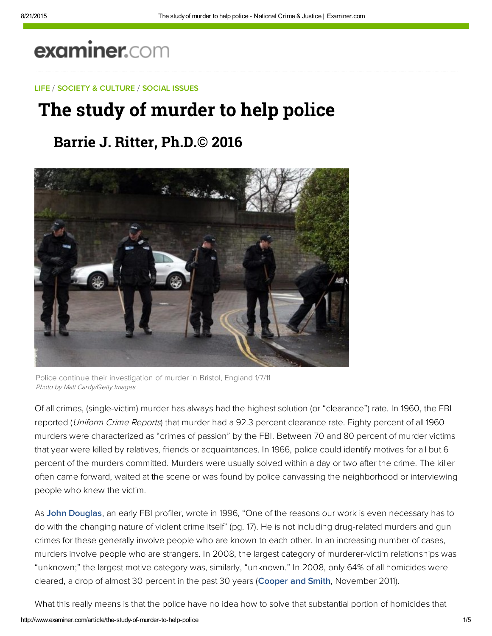# examiner.com

### LIFE / SOCIETY & CULTURE / SOCIAL ISSUES

## The study of murder to help police

### **Barrie J. Ritter, Ph.D.© 2016**



Police continue their investigation of murder in Bristol, England 1/7/11 Photo by Matt Cardy/Getty Images

Of all crimes, (single‑victim) murder has always had the highest solution (or "clearance") rate. In 1960, the FBI reported (Uniform Crime Reports) that murder had a 92.3 percent clearance rate. Eighty percent of all 1960 murders were characterized as "crimes of passion" by the FBI. Between 70 and 80 percent of murder victims that year were killed by relatives, friends or acquaintances. In 1966, police could identify motives for all but 6 percent of the murders committed. Murders were usually solved within a day or two after the crime. The killer often came forward, waited at the scene or was found by police canvassing the neighborhood or interviewing people who knew the victim.

As **John Douglas**, an early FBI profiler, wrote in 1996, "One of the reasons our work is even necessary has to do with the changing nature of violent crime itself" (pg. 17). He is not including drug-related murders and gun crimes for these generally involve people who are known to each other. In an increasing number of cases, murders involve people who are strangers. In 2008, the largest category of murderer-victim relationships was "unknown;" the largest motive category was, similarly, "unknown." In 2008, only 64% of all homicides were cleared, a drop of almost 30 percent in the past 30 years (Cooper and Smith, November 2011).

What this really means is that the police have no idea how to solve that substantial portion of homicides that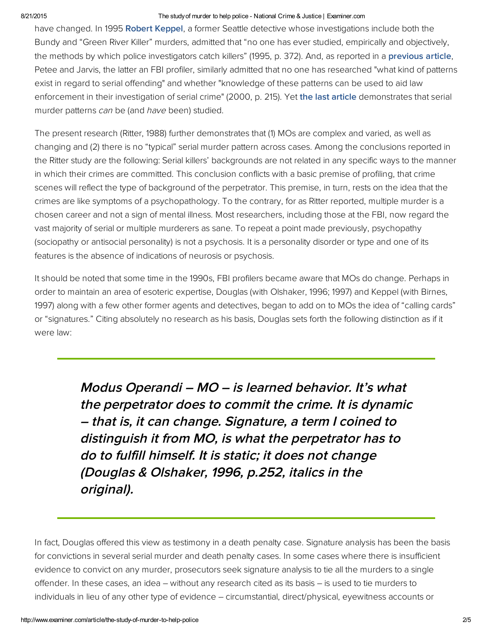#### 8/21/2015 The study of murder to help police National Crime & Justice | Examiner.com

have changed. In 1995 **Robert Keppel**, a former Seattle detective whose investigations include both the Bundy and "Green River Killer" murders, admitted that "no one has ever studied, empirically and objectively, the methods by which police investigators catch killers" (1995, p. 372). And, as reported in a **previous article**, Petee and Jarvis, the latter an FBI profiler, similarly admitted that no one has researched "what kind of patterns exist in regard to serial offending" and whether "knowledge of these patterns can be used to aid law enforcement in their investigation of serial crime" (2000, p. 215). Yet [the last article](www.ritterhomicideresearch.com/articles/The-dynamics-of-sequential-progression-in-serial-murders.pdf) demonstrates that serial murder patterns can be (and have been) studied.

The present research (Ritter, 1988) further demonstrates that (1) MOs are complex and varied, as well as changing and (2) there is no "typical" serial murder pattern across cases. Among the conclusions reported in the Ritter study are the following: Serial killers' backgrounds are not related in any specific ways to the manner in which their crimes are committed. This conclusion conflicts with a basic premise of profiling, that crime scenes will reflect the type of background of the perpetrator. This premise, in turn, rests on the idea that the crimes are like symptoms of a psychopathology. To the contrary, for as Ritter reported, multiple murder is a chosen career and not a sign of mental illness. Most researchers, including those at the FBI, now regard the vast majority of serial or multiple murderers as sane. To repeat a point made previously, psychopathy (sociopathy or antisocial personality) is not a psychosis. It is a personality disorder or type and one of its features is the absence of indications of neurosis or psychosis.

It should be noted that some time in the 1990s, FBI profilers became aware that MOs do change. Perhaps in order to maintain an area of esoteric expertise, Douglas (with Olshaker, 1996; 1997) and Keppel (with Birnes, 1997) along with a few other former agents and detectives, began to add on to MOs the idea of "calling cards" or "signatures." Citing absolutely no research as his basis, Douglas sets forth the following distinction as if it were law:

> Modus Operandi – MO – is learned behavior. It's what the perpetrator does to commit the crime. It is dynamic – that is, it can change. Signature, a term I coined to distinguish it from MO, is what the perpetrator has to do to fulfill himself. It is static; it does not change (Douglas & Olshaker, 1996, p.252, italics in the original).

In fact, Douglas offered this view as testimony in a death penalty case. Signature analysis has been the basis for convictions in several serial murder and death penalty cases. In some cases where there is insufficient evidence to convict on any murder, prosecutors seek signature analysis to tie all the murders to a single offender. In these cases, an idea – without any research cited as its basis – is used to tie murders to individuals in lieu of any other type of evidence – circumstantial, direct/physical, eyewitness accounts or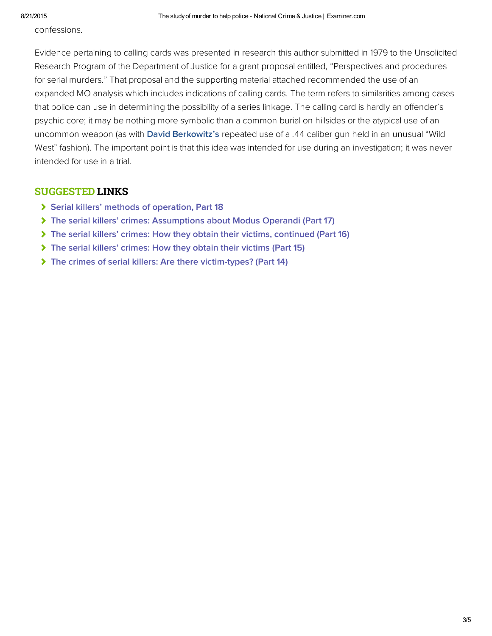confessions.

Evidence pertaining to calling cards was presented in research this author submitted in 1979 to the Unsolicited Research Program of the Department of Justice for a grant proposal entitled, "Perspectives and procedures for serial murders." That proposal and the supporting material attached recommended the use of an expanded MO analysis which includes indications of calling cards. The term refers to similarities among cases that police can use in determining the possibility of a series linkage. The calling card is hardly an offender's psychic core; it may be nothing more symbolic than a common burial on hillsides or the atypical use of an uncommon weapon (as with [David Berkowitz's](http://bit.ly/S4nQHX) repeated use of a .44 caliber gun held in an unusual "Wild West" fashion). The important point is that this idea was intended for use during an investigation; it was never intended for use in a trial.

### SUGGESTED LINKS

- [Serial killers' methods of operation, Part 18](http://www.ritterhomicideresearch.com/articles/Part-18.pdf)
- [The serial killers' crimes: Assumptions about Modus Operandi \(Part 17\)](http://www.ritterhomicideresearch.com/articles/Part-17.pdf)
- [The serial killers' crimes: How they obtain their victims, continued \(Part 16\)](http://www.ritterhomicideresearch.com/articles/Part-16.pdf)
- [The serial killers' crimes: How they obtain their victims \(Part 15\)](http://www.ritterhomicideresearch.com/articles/Part-15.pdf)
- [The crimes of serial killers: Are there victim-types? \(Part 14\)](http://www.ritterhomicideresearch.com/articles/Part-14.pdf)